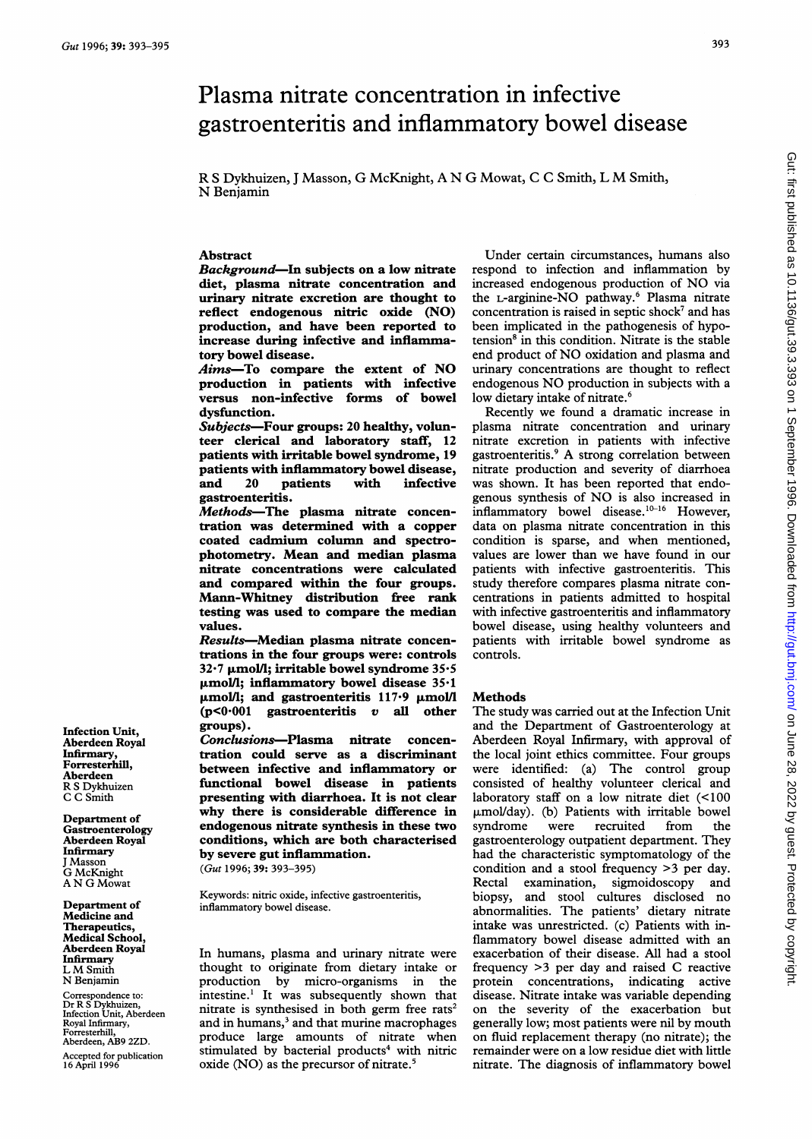# Plasma nitrate concentration in infective gastroenteritis and inflammatory bowel disease

R <sup>S</sup> Dykhuizen, <sup>J</sup> Masson, G McKnight, A N G Mowat, <sup>C</sup> <sup>C</sup> Smith, <sup>L</sup> M Smith, N Benjamin

## Abstract

Background-In subjects on a low nitrate diet, plasma nitrate concentration and urinary nitrate excretion are thought to reflect endogenous nitric oxide (NO) production, and have been reported to increase during infective and inflammatory bowel disease.

 $Aims$ -To compare the extent of NO production in patients with infective versus non-infective forms of bowel dysfunction.

Subjects-Four groups: 20 healthy, volunteer clerical and laboratory staff, 12 patients with irritable bowel syndrome, 19 patients with inflammatory bowel disease,<br>and 20 patients with infective infective gastroenteritis.

Methods-The plasma nitrate concentration was determined with a copper coated cadmium column and spectrophotometry. Mean and median plasma nitrate concentrations were calculated and compared within the four groups. Mann-Whitney distribution free rank testing was used to compare the median values.

Results-Median plasma nitrate concentrations in the four groups were: controls  $32·7$  µmol/l; irritable bowel syndrome  $35·5$  $\mu$ mol/l; inflammatory bowel disease 35.1 umol/l; and gastroenteritis 117.9 µmol/l  $(p<0.001$  gastroenteritis v all other groups).

Conclusions-Plasma nitrate concentration could serve as a discriminant between infective and inflammatory or functional bowel disease in patients presenting with diarrhoea. It is not clear why there is considerable difference in endogenous nitrate synthesis in these two conditions, which are both characterised by severe gut inflammation.

(Gut 1996; 39: 393-395)

Keywords: nitric oxide, infective gastroenteritis, inflammatory bowel disease.

In humans, plasma and urinary nitrate were thought to originate from dietary intake or<br>production by micro-organisms in the production by micro-organisms intestine.<sup>1</sup> It was subsequently shown that nitrate is synthesised in both germ free rats<sup>2</sup> and in humans,<sup>3</sup> and that murine macrophages produce large amounts of nitrate when stimulated by bacterial products<sup>4</sup> with nitric oxide (NO) as the precursor of nitrate.<sup>5</sup>

Under certain circumstances, humans also respond to infection and inflammation by increased endogenous production of NO via the L-arginine-NO pathway.6 Plasma nitrate concentration is raised in septic shock<sup>7</sup> and has been implicated in the pathogenesis of hypotension<sup>8</sup> in this condition. Nitrate is the stable end product of NO oxidation and plasma and urinary concentrations are thought to reflect endogenous NO production in subjects with <sup>a</sup> low dietary intake of nitrate.<sup>6</sup>

Recently we found a dramatic increase in plasma nitrate concentration and urinary nitrate excretion in patients with infective gastroenteritis.' A strong correlation between nitrate production and severity of diarrhoea was shown. It has been reported that endogenous synthesis of NO is also increased in  $inflammatory$  bowel disease.<sup>10-16</sup> However, data on plasma nitrate concentration in this condition is sparse, and when mentioned, values are lower than we have found in our patients with infective gastroenteritis. This study therefore compares plasma nitrate concentrations in patients admitted to hospital with infective gastroenteritis and inflammatory bowel disease, using healthy volunteers and patients with irritable bowel syndrome as controls.

## Methods

The study was carried out at the Infection Unit and the Department of Gastroenterology at Aberdeen Royal Infirmary, with approval of the local joint ethics committee. Four groups were identified: (a) The control group consisted of healthy volunteer clerical and laboratory staff on a low nitrate diet (<100  $\mu$ mol/day). (b) Patients with irritable bowel<br>syndrome were recruited from the syndrome gastroenterology outpatient department. They had the characteristic symptomatology of the condition and a stool frequency >3 per day. Rectal examination, sigmoidoscopy and biopsy, and stool cultures disclosed no abnormalities. The patients' dietary nitrate intake was unrestricted. (c) Patients with inflammatory bowel disease admitted with an exacerbation of their disease. All had a stool frequency >3 per day and raised C reactive protein concentrations, indicating active disease. Nitrate intake was variable depending on the severity of the exacerbation but generally low; most patients were nil by mouth on fluid replacement therapy (no nitrate); the remainder were on a low residue diet with little nitrate. The diagnosis of inflammatory bowel

Infection Unit, Aberdeen Royal Infirmary, Forresterhill, Aberdeen R S Dykhuizen C C Smith

Department of Gastroenterology Aberdeen Royal Infirmary J Masson G McKnight A N G Mowat

Department of Medicine and Therapeutics, Medical School, Aberdeen Royal Infirmary L M Smith N Benjamin

Correspondence to: Dr R S Dykhuizen, Infection Unit, Aberdeen Royal Infirmary, Forresterhill, Aberdeen, AB9 2ZD.

Accepted for publication 16 April 1996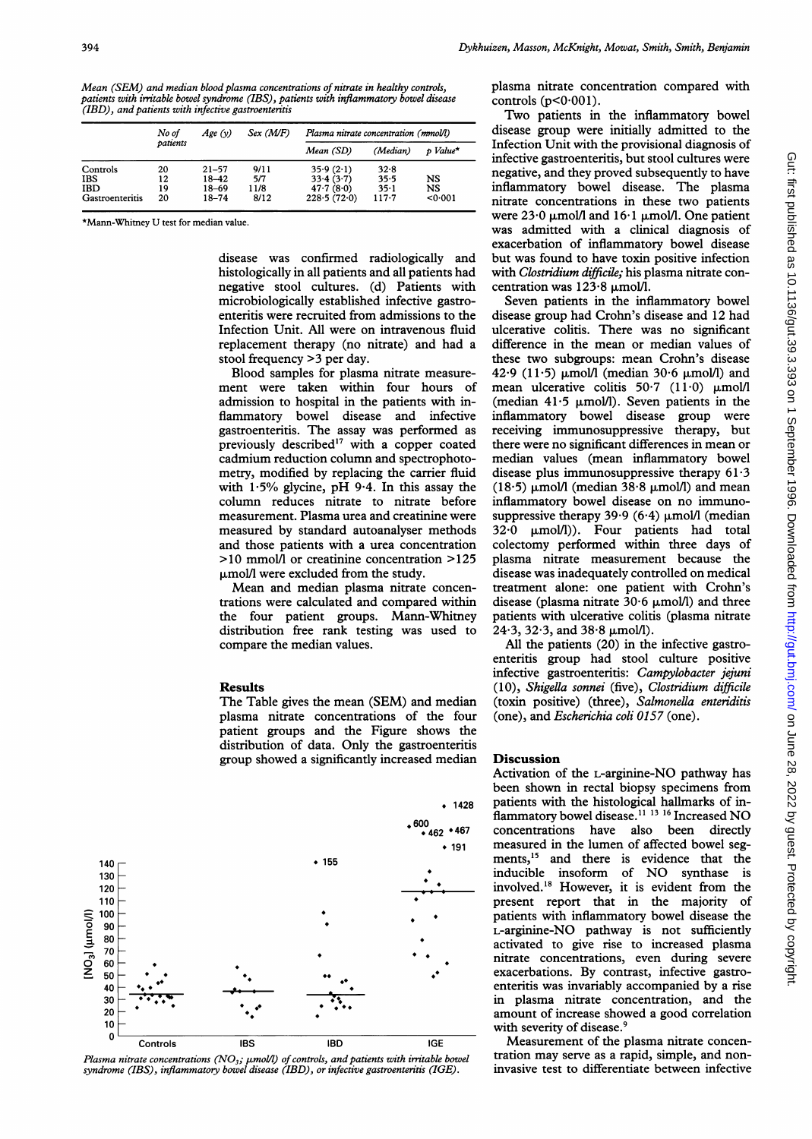Mean (SEM) and median blood plasma concentrations of nitrate in healthy controls, patients with irritable bowel syndrome (IBS), patients with inflammatory bowel disease (IBD), and patients with infective gastroenteritis

|                 | No of<br>patients | Age(y)    | $Sex$ ( <i>M</i> / <i>F</i> ) | Plasma nitrate concentration (mmol/l) |           |          |
|-----------------|-------------------|-----------|-------------------------------|---------------------------------------|-----------|----------|
|                 |                   |           |                               | Mean (SD)                             | (Median)  | p Value* |
| Controls        | 20                | $21 - 57$ | 9/11                          | 35.9(2.1)                             | 32.8      |          |
| <b>IBS</b>      | 12                | $18 - 42$ | 5/7                           | 33.4(3.7)                             | 35.5      | NS       |
| <b>IBD</b>      | 19                | $18 - 69$ | 11/8                          | 47.7(8.0)                             | $35 - 1$  | NS       |
| Gastroenteritis | 20                | $18 - 74$ | 8/12                          | 228.5(72.0)                           | $117 - 7$ | 0.001    |

\*Mann-Whimey U test for median value.

disease was confirmed radiologically and histologically in all patients and all patients had negative stool cultures. (d) Patients with microbiologically established infective gastroenteritis were recruited from admissions to the Infection Unit. All were on intravenous fluid replacement therapy (no nitrate) and had a stool frequency >3 per day.

Blood samples for plasma nitrate measurement were taken within four hours of admission to hospital in the patients with inflammatory bowel disease and infective gastroenteritis. The assay was performed as previously described $17$  with a copper coated cadmium reduction column and spectrophotometry, modified by replacing the carrier fluid with 1-5% glycine, pH 9.4. In this assay the column reduces nitrate to nitrate before measurement. Plasma urea and creatinine were measured by standard autoanalyser methods and those patients with a urea concentration >10 mmolll or creatinine concentration >125 p.mol/l were excluded from the study.

Mean and median plasma nitrate concentrations were calculated and compared within the four patient groups. Mann-Whitney distribution free rank testing was used to compare the median values.

#### Results

The Table gives the mean (SEM) and median plasma nitrate concentrations of the four patient groups and the Figure shows the distribution of data. Only the gastroenteritis group showed a significantly increased median



: bowel Plasma nitrate concentrations (NO<sub>3</sub>; µmol/l) of controls, and patients with irritable bow<br>syndrome (IBS), inflammatory bowel disease (IBD), or infective gastroenteritis (IGE).

plasma nitrate concentration compared with controls  $(p<0.001)$ .

Two patients in the inflammatory bowel disease group were initially admitted to the Infection Unit with the provisional diagnosis of infective gastroenteritis, but stool cultures were negative, and they proved subsequently to have inflammatory bowel disease. The plasma nitrate concentrations in these two patients were  $23.0 \mu$ mol/l and  $16.1 \mu$ mol/l. One patient was admitted with a clinical diagnosis of exacerbation of inflammatory bowel disease but was found to have toxin positive infection with *Clostridium difficile*; his plasma nitrate concentration was  $123.8 \mu$ mol/l.

Seven patients in the inflammatory bowel disease group had Crohn's disease and 12 had ulcerative colitis. There was no significant difference in the mean or median values of these two subgroups: mean Crohn's disease 42.9 (11.5)  $\mu$ mol/l (median 30.6  $\mu$ mol/l) and mean ulcerative colitis  $50.7$  (11.0)  $\mu$ mol/l (median 41.5  $\mu$ mol/l). Seven patients in the inflammatory bowel disease group were receiving immunosuppressive therapy, but there were no significant differences in mean or median values (mean inflammatory bowel disease plus immunosuppressive therapy 61.3 (18.5)  $\mu$ mol/l (median 38.8  $\mu$ mol/l) and mean inflammatory bowel disease on no immunosuppressive therapy 39.9 (6.4)  $\mu$ mol/l (median  $32.0 \, \mu$ mol/l)). Four patients had total colectomy performed within three days of plasma nitrate measurement because the disease was inadequately controlled on medical treatment alone: one patient with Crohn's disease (plasma nitrate  $30.6 \mu$ mol/l) and three patients with ulcerative colitis (plasma nitrate  $24.3$ ,  $32.3$ , and  $38.8 \mu$ mol/l).

All the patients (20) in the infective gastroenteritis group had stool culture positive infective gastroenteritis: Campylobacter jejuni (10), Shigella sonnei (five), Clostridium difficile (toxin positive) (three), Salmonella enteriditis (one), and Escherichia coli 0157 (one).

### Discussion

Activation of the L-arginine-NO pathway has been shown in rectal biopsy specimens from patients with the histological hallmarks of inflammatory bowel disease.<sup>11 13</sup> <sup>16</sup> Increased NO concentrations have also been directly measured in the lumen of affected bowel segments,<sup>15</sup> and there is evidence that the inducible insoform of NO synthase is involved.'8 However, it is evident from the present report that in the majority of patients with inflammatory bowel disease the L-arginine-NO pathway is not sufficiently activated to give rise to increased plasma nitrate concentrations, even during severe exacerbations. By contrast, infective gastroenteritis was invariably accompanied by a rise in plasma nitrate concentration, and the amount of increase showed a good correlation with severity of disease.<sup>9</sup>

Measurement of the plasma nitrate concentration may serve as a rapid, simple, and noninvasive test to differentiate between infective